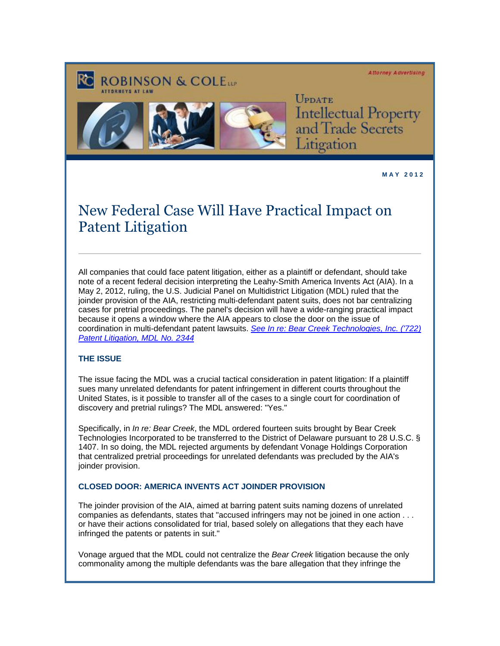#### **Attorney Advertising**



**ROBINSON & COLETT** 

UPDATE Intellectual Property<br>and Trade Secrets Litigation

**M A Y 2 0 1 2** 

# New Federal Case Will Have Practical Impact on Patent Litigation

All companies that could face patent litigation, either as a plaintiff or defendant, should take note of a recent federal decision interpreting the Leahy-Smith America Invents Act (AIA). In a May 2, 2012, ruling, the U.S. Judicial Panel on Multidistrict Litigation (MDL) ruled that the joinder provision of the AIA, restricting multi-defendant patent suits, does not bar centralizing cases for pretrial proceedings. The panel's decision will have a wide-ranging practical impact because it opens a window where the AIA appears to close the door on the issue of coordination in multi-defendant patent lawsuits. *[See In re: Bear Creek Technologies, Inc. \('722\)](http://cl.exct.net/?ju=fe2a17737367047c721c76&ls=fdf11c787363047877137177&m=fefb1671756c0d&l=fecc117471640679&s=fdfa15757d6407787c167071&jb=ffcf14&t=)  [Patent Litigation, MDL No. 2344](http://cl.exct.net/?ju=fe2a17737367047c721c76&ls=fdf11c787363047877137177&m=fefb1671756c0d&l=fecc117471640679&s=fdfa15757d6407787c167071&jb=ffcf14&t=)*

## **THE ISSUE**

The issue facing the MDL was a crucial tactical consideration in patent litigation: If a plaintiff sues many unrelated defendants for patent infringement in different courts throughout the United States, is it possible to transfer all of the cases to a single court for coordination of discovery and pretrial rulings? The MDL answered: "Yes."

Specifically, in *In re: Bear Creek*, the MDL ordered fourteen suits brought by Bear Creek Technologies Incorporated to be transferred to the District of Delaware pursuant to 28 U.S.C. § 1407. In so doing, the MDL rejected arguments by defendant Vonage Holdings Corporation that centralized pretrial proceedings for unrelated defendants was precluded by the AIA's joinder provision.

## **CLOSED DOOR: AMERICA INVENTS ACT JOINDER PROVISION**

The joinder provision of the AIA, aimed at barring patent suits naming dozens of unrelated companies as defendants, states that "accused infringers may not be joined in one action . . . or have their actions consolidated for trial, based solely on allegations that they each have infringed the patents or patents in suit."

Vonage argued that the MDL could not centralize the *Bear Creek* litigation because the only commonality among the multiple defendants was the bare allegation that they infringe the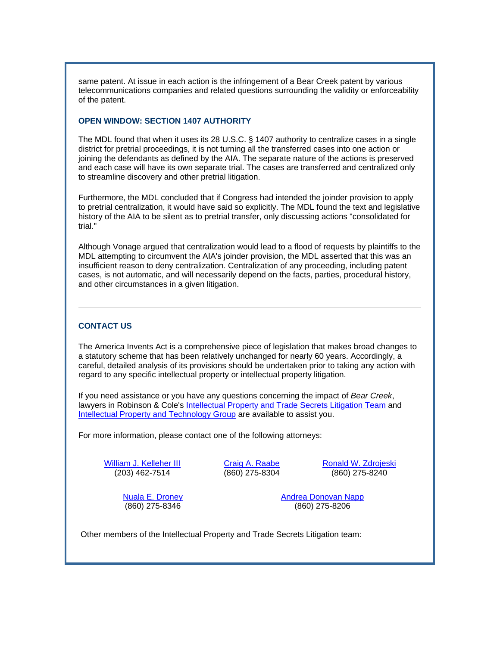same patent. At issue in each action is the infringement of a Bear Creek patent by various telecommunications companies and related questions surrounding the validity or enforceability of the patent.

#### **OPEN WINDOW: SECTION 1407 AUTHORITY**

The MDL found that when it uses its 28 U.S.C. § 1407 authority to centralize cases in a single district for pretrial proceedings, it is not turning all the transferred cases into one action or joining the defendants as defined by the AIA. The separate nature of the actions is preserved and each case will have its own separate trial. The cases are transferred and centralized only to streamline discovery and other pretrial litigation.

Furthermore, the MDL concluded that if Congress had intended the joinder provision to apply to pretrial centralization, it would have said so explicitly. The MDL found the text and legislative history of the AIA to be silent as to pretrial transfer, only discussing actions "consolidated for trial."

Although Vonage argued that centralization would lead to a flood of requests by plaintiffs to the MDL attempting to circumvent the AIA's joinder provision, the MDL asserted that this was an insufficient reason to deny centralization. Centralization of any proceeding, including patent cases, is not automatic, and will necessarily depend on the facts, parties, procedural history, and other circumstances in a given litigation.

#### **CONTACT US**

The America Invents Act is a comprehensive piece of legislation that makes broad changes to a statutory scheme that has been relatively unchanged for nearly 60 years. Accordingly, a careful, detailed analysis of its provisions should be undertaken prior to taking any action with regard to any specific intellectual property or intellectual property litigation.

If you need assistance or you have any questions concerning the impact of *Bear Creek*, lawyers in Robinson & Cole's [Intellectual Property and Trade](http://cl.exct.net/?ju=fe2917737367047c721c77&ls=fdf11c787363047877137177&m=fefb1671756c0d&l=fecc117471640679&s=fdfa15757d6407787c167071&jb=ffcf14&t=) Secrets Litigation Team and [Intellectual Property and Technology Group](http://cl.exct.net/?ju=fe2817737367047c721c78&ls=fdf11c787363047877137177&m=fefb1671756c0d&l=fecc117471640679&s=fdfa15757d6407787c167071&jb=ffcf14&t=) are available to assist you.

For more information, please contact one of the following attorneys:

[William J. Kelleher III](http://cl.exct.net/?ju=fe2717737367047c721c79&ls=fdf11c787363047877137177&m=fefb1671756c0d&l=fecc117471640679&s=fdfa15757d6407787c167071&jb=ffcf14&t=) (203) 462-7514

[Craig A. Raabe](http://cl.exct.net/?ju=fe2f17737367047c721d70&ls=fdf11c787363047877137177&m=fefb1671756c0d&l=fecc117471640679&s=fdfa15757d6407787c167071&jb=ffcf14&t=) (860) 275-8304

[Ronald W. Zdrojeski](http://cl.exct.net/?ju=fe2e17737367047c721d71&ls=fdf11c787363047877137177&m=fefb1671756c0d&l=fecc117471640679&s=fdfa15757d6407787c167071&jb=ffcf14&t=) (860) 275-8240

[Nuala E. Droney](http://cl.exct.net/?ju=fe2d17737367047c721d72&ls=fdf11c787363047877137177&m=fefb1671756c0d&l=fecc117471640679&s=fdfa15757d6407787c167071&jb=ffcf14&t=) (860) 275-8346

[Andrea Donovan Napp](http://cl.exct.net/?ju=fe2c17737367047c721d73&ls=fdf11c787363047877137177&m=fefb1671756c0d&l=fecc117471640679&s=fdfa15757d6407787c167071&jb=ffcf14&t=) (860) 275-8206

Other members of the Intellectual Property and Trade Secrets Litigation team: